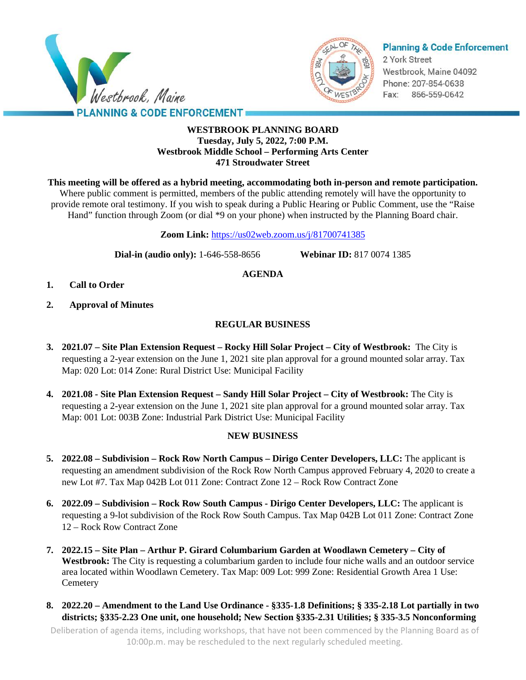



# **Planning & Code Enforcement**

2 York Street Westbrook, Maine 04092 Phone: 207-854-0638 Fax: 866-559-0642

# **WESTBROOK PLANNING BOARD Tuesday, July 5, 2022, 7:00 P.M. Westbrook Middle School – Performing Arts Center 471 Stroudwater Street**

**This meeting will be offered as a hybrid meeting, accommodating both in-person and remote participation.**

Where public comment is permitted, members of the public attending remotely will have the opportunity to provide remote oral testimony. If you wish to speak during a Public Hearing or Public Comment, use the "Raise Hand" function through Zoom (or dial \*9 on your phone) when instructed by the Planning Board chair.

**Zoom Link:** <https://us02web.zoom.us/j/81700741385>

**Dial-in (audio only):** 1-646-558-8656 **Webinar ID:** 817 0074 1385

# **AGENDA**

- **1. Call to Order**
- **2. Approval of Minutes**

# **REGULAR BUSINESS**

- **3. 2021.07 – Site Plan Extension Request – Rocky Hill Solar Project – City of Westbrook:** The City is requesting a 2-year extension on the June 1, 2021 site plan approval for a ground mounted solar array. Tax Map: 020 Lot: 014 Zone: Rural District Use: Municipal Facility
- **4. 2021.08 - Site Plan Extension Request – Sandy Hill Solar Project – City of Westbrook:** The City is requesting a 2-year extension on the June 1, 2021 site plan approval for a ground mounted solar array. Tax Map: 001 Lot: 003B Zone: Industrial Park District Use: Municipal Facility

# **NEW BUSINESS**

- **5. 2022.08 – Subdivision – Rock Row North Campus – Dirigo Center Developers, LLC:** The applicant is requesting an amendment subdivision of the Rock Row North Campus approved February 4, 2020 to create a new Lot #7. Tax Map 042B Lot 011 Zone: Contract Zone 12 – Rock Row Contract Zone
- **6. 2022.09 – Subdivision – Rock Row South Campus - Dirigo Center Developers, LLC:** The applicant is requesting a 9-lot subdivision of the Rock Row South Campus. Tax Map 042B Lot 011 Zone: Contract Zone 12 – Rock Row Contract Zone
- **7. 2022.15 – Site Plan – Arthur P. Girard Columbarium Garden at Woodlawn Cemetery – City of Westbrook:** The City is requesting a columbarium garden to include four niche walls and an outdoor service area located within Woodlawn Cemetery. Tax Map: 009 Lot: 999 Zone: Residential Growth Area 1 Use: **Cemetery**
- **8. 2022.20 – Amendment to the Land Use Ordinance - §335-1.8 Definitions; § 335-2.18 Lot partially in two districts; §335-2.23 One unit, one household; New Section §335-2.31 Utilities; § 335-3.5 Nonconforming**

Deliberation of agenda items, including workshops, that have not been commenced by the Planning Board as of 10:00p.m. may be rescheduled to the next regularly scheduled meeting.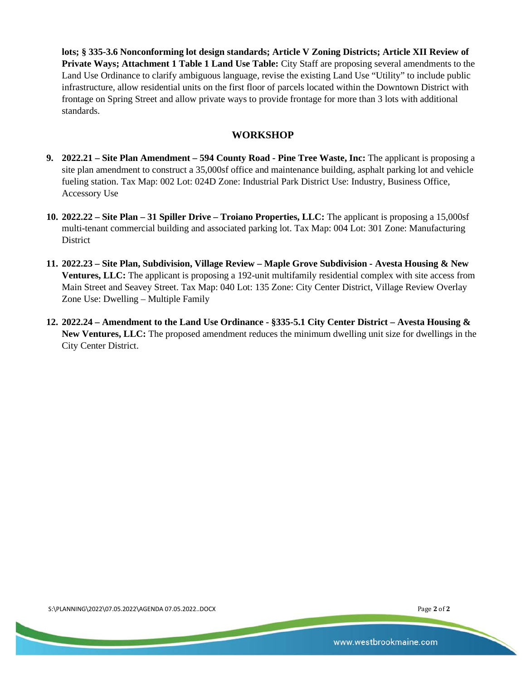**lots; § 335-3.6 Nonconforming lot design standards; Article V Zoning Districts; Article XII Review of Private Ways; Attachment 1 Table 1 Land Use Table:** City Staff are proposing several amendments to the Land Use Ordinance to clarify ambiguous language, revise the existing Land Use "Utility" to include public infrastructure, allow residential units on the first floor of parcels located within the Downtown District with frontage on Spring Street and allow private ways to provide frontage for more than 3 lots with additional standards.

# **WORKSHOP**

- **9. 2022.21 – Site Plan Amendment – 594 County Road - Pine Tree Waste, Inc:** The applicant is proposing a site plan amendment to construct a 35,000sf office and maintenance building, asphalt parking lot and vehicle fueling station. Tax Map: 002 Lot: 024D Zone: Industrial Park District Use: Industry, Business Office, Accessory Use
- **10. 2022.22 – Site Plan – 31 Spiller Drive – Troiano Properties, LLC:** The applicant is proposing a 15,000sf multi-tenant commercial building and associated parking lot. Tax Map: 004 Lot: 301 Zone: Manufacturing District
- **11. 2022.23 – Site Plan, Subdivision, Village Review – Maple Grove Subdivision - Avesta Housing & New Ventures, LLC:** The applicant is proposing a 192-unit multifamily residential complex with site access from Main Street and Seavey Street. Tax Map: 040 Lot: 135 Zone: City Center District, Village Review Overlay Zone Use: Dwelling – Multiple Family
- **12. 2022.24 – Amendment to the Land Use Ordinance - §335-5.1 City Center District – Avesta Housing & New Ventures, LLC:** The proposed amendment reduces the minimum dwelling unit size for dwellings in the City Center District.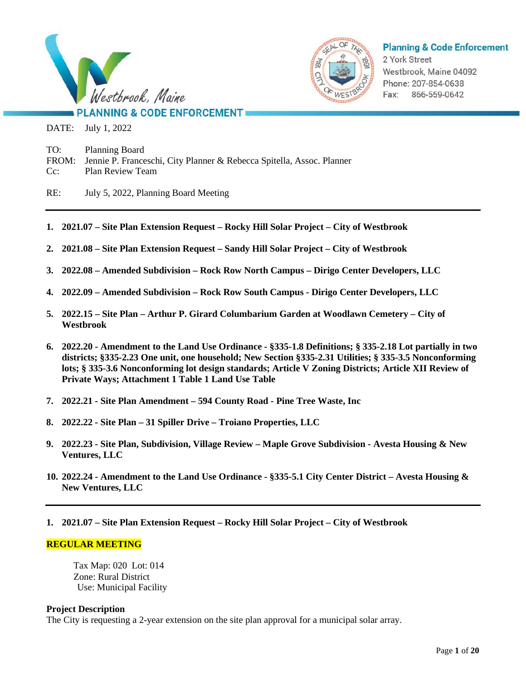



**Planning & Code Enforcement** 

2 York Street Westbrook, Maine 04092 Phone: 207-854-0638 Fax: 866-559-0642

# **PLANNING & CODE ENFORCEMENT**

DATE: July 1, 2022

TO: Planning Board FROM: Jennie P. Franceschi, City Planner & Rebecca Spitella, Assoc. Planner Cc: Plan Review Team

- RE: July 5, 2022, Planning Board Meeting
- **1. 2021.07 – Site Plan Extension Request – Rocky Hill Solar Project – City of Westbrook**
- **2. 2021.08 – Site Plan Extension Request – Sandy Hill Solar Project – City of Westbrook**
- **3. 2022.08 – Amended Subdivision – Rock Row North Campus – Dirigo Center Developers, LLC**
- **4. 2022.09 – Amended Subdivision – Rock Row South Campus - Dirigo Center Developers, LLC**
- **5. 2022.15 – Site Plan – Arthur P. Girard Columbarium Garden at Woodlawn Cemetery – City of Westbrook**
- 6. 2022.20 Amendment to the Land Use Ordinance §335-1.8 Definitions; § 335-2.18 Lot partially in two **districts; §335-2.23 One unit, one household; New Section §335-2.31 Utilities; § 335-3.5 Nonconforming lots; § 335-3.6 Nonconforming lot design standards; Article V Zoning Districts; Article XII Review of Private Ways; Attachment 1 Table 1 Land Use Table**
- **7. 2022.21 - Site Plan Amendment – 594 County Road - Pine Tree Waste, Inc**
- **8. 2022.22 - Site Plan – 31 Spiller Drive – Troiano Properties, LLC**
- **9. 2022.23 - Site Plan, Subdivision, Village Review – Maple Grove Subdivision - Avesta Housing & New Ventures, LLC**
- 10. 2022.24 Amendment to the Land Use Ordinance §335-5.1 City Center District Avesta Housing & **New Ventures, LLC**
- **1. 2021.07 – Site Plan Extension Request – Rocky Hill Solar Project – City of Westbrook**

## **REGULAR MEETING**

Tax Map: 020 Lot: 014 Zone: Rural District Use: Municipal Facility

## **Project Description**

The City is requesting a 2-year extension on the site plan approval for a municipal solar array.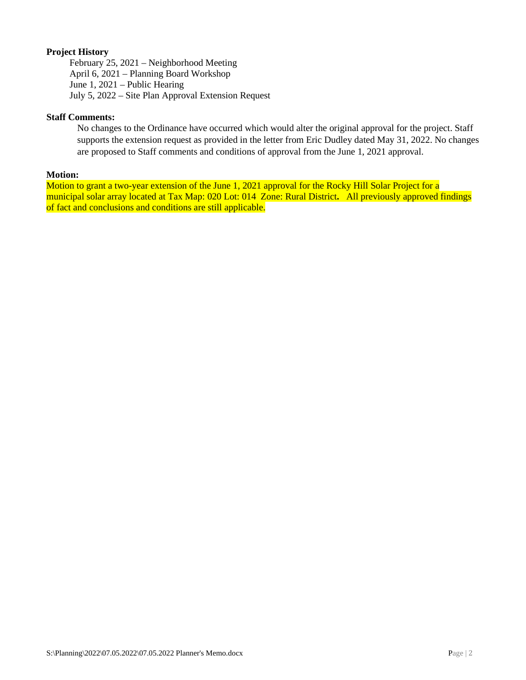# **Project History**

February 25, 2021 – Neighborhood Meeting April 6, 2021 – Planning Board Workshop June 1, 2021 – Public Hearing July 5, 2022 – Site Plan Approval Extension Request

## **Staff Comments:**

No changes to the Ordinance have occurred which would alter the original approval for the project. Staff supports the extension request as provided in the letter from Eric Dudley dated May 31, 2022. No changes are proposed to Staff comments and conditions of approval from the June 1, 2021 approval.

#### **Motion:**

Motion to grant a two-year extension of the June 1, 2021 approval for the Rocky Hill Solar Project for a municipal solar array located at Tax Map: 020 Lot: 014 Zone: Rural District**.** All previously approved findings of fact and conclusions and conditions are still applicable.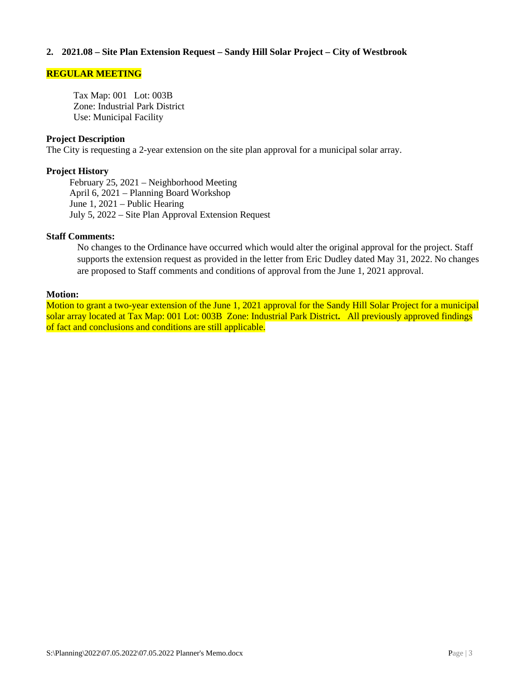## **2. 2021.08 – Site Plan Extension Request – Sandy Hill Solar Project – City of Westbrook**

### **REGULAR MEETING**

Tax Map: 001 Lot: 003B Zone: Industrial Park District Use: Municipal Facility

#### **Project Description**

The City is requesting a 2-year extension on the site plan approval for a municipal solar array.

#### **Project History**

February 25, 2021 – Neighborhood Meeting April 6, 2021 – Planning Board Workshop June 1, 2021 – Public Hearing July 5, 2022 – Site Plan Approval Extension Request

#### **Staff Comments:**

No changes to the Ordinance have occurred which would alter the original approval for the project. Staff supports the extension request as provided in the letter from Eric Dudley dated May 31, 2022. No changes are proposed to Staff comments and conditions of approval from the June 1, 2021 approval.

### **Motion:**

Motion to grant a two-year extension of the June 1, 2021 approval for the Sandy Hill Solar Project for a municipal solar array located at Tax Map: 001 Lot: 003B Zone: Industrial Park District**.** All previously approved findings of fact and conclusions and conditions are still applicable.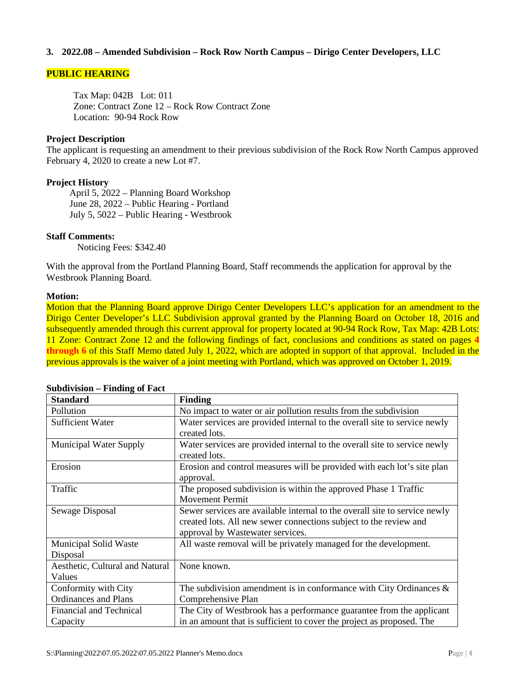# **3. 2022.08 – Amended Subdivision – Rock Row North Campus – Dirigo Center Developers, LLC**

## **PUBLIC HEARING**

Tax Map: 042B Lot: 011 Zone: Contract Zone 12 – Rock Row Contract Zone Location: 90-94 Rock Row

## **Project Description**

The applicant is requesting an amendment to their previous subdivision of the Rock Row North Campus approved February 4, 2020 to create a new Lot #7.

## **Project History**

April 5, 2022 – Planning Board Workshop June 28, 2022 – Public Hearing - Portland July 5, 5022 – Public Hearing - Westbrook

## **Staff Comments:**

Noticing Fees: \$342.40

With the approval from the Portland Planning Board, Staff recommends the application for approval by the Westbrook Planning Board.

#### **Motion:**

Motion that the Planning Board approve Dirigo Center Developers LLC's application for an amendment to the Dirigo Center Developer's LLC Subdivision approval granted by the Planning Board on October 18, 2016 and subsequently amended through this current approval for property located at 90-94 Rock Row, Tax Map: 42B Lots: 11 Zone: Contract Zone 12 and the following findings of fact, conclusions and conditions as stated on pages **4 through 6** of this Staff Memo dated July 1, 2022, which are adopted in support of that approval. Included in the previous approvals is the waiver of a joint meeting with Portland, which was approved on October 1, 2019.

| <b>Standard</b>                 | <b>Finding</b>                                                             |
|---------------------------------|----------------------------------------------------------------------------|
| Pollution                       | No impact to water or air pollution results from the subdivision           |
| <b>Sufficient Water</b>         | Water services are provided internal to the overall site to service newly  |
|                                 | created lots.                                                              |
| <b>Municipal Water Supply</b>   | Water services are provided internal to the overall site to service newly  |
|                                 | created lots.                                                              |
| Erosion                         | Erosion and control measures will be provided with each lot's site plan    |
|                                 | approval.                                                                  |
| Traffic                         | The proposed subdivision is within the approved Phase 1 Traffic            |
|                                 | <b>Movement Permit</b>                                                     |
| Sewage Disposal                 | Sewer services are available internal to the overall site to service newly |
|                                 | created lots. All new sewer connections subject to the review and          |
|                                 | approval by Wastewater services.                                           |
| Municipal Solid Waste           | All waste removal will be privately managed for the development.           |
| Disposal                        |                                                                            |
| Aesthetic, Cultural and Natural | None known.                                                                |
| Values                          |                                                                            |
| Conformity with City            | The subdivision amendment is in conformance with City Ordinances $\&$      |
| <b>Ordinances and Plans</b>     | Comprehensive Plan                                                         |
| <b>Financial and Technical</b>  | The City of Westbrook has a performance guarantee from the applicant       |
| Capacity                        | in an amount that is sufficient to cover the project as proposed. The      |

## **Subdivision – Finding of Fact**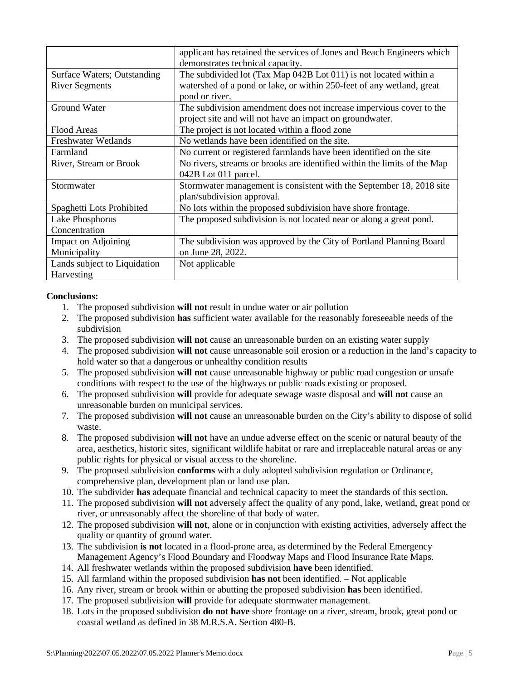|                                    | applicant has retained the services of Jones and Beach Engineers which<br>demonstrates technical capacity. |
|------------------------------------|------------------------------------------------------------------------------------------------------------|
| <b>Surface Waters; Outstanding</b> | The subdivided lot (Tax Map 042B Lot 011) is not located within a                                          |
| <b>River Segments</b>              | watershed of a pond or lake, or within 250-feet of any wetland, great                                      |
|                                    | pond or river.                                                                                             |
| <b>Ground Water</b>                | The subdivision amendment does not increase impervious cover to the                                        |
|                                    | project site and will not have an impact on groundwater.                                                   |
| <b>Flood Areas</b>                 | The project is not located within a flood zone                                                             |
| <b>Freshwater Wetlands</b>         | No wetlands have been identified on the site.                                                              |
| Farmland                           | No current or registered farmlands have been identified on the site                                        |
| River, Stream or Brook             | No rivers, streams or brooks are identified within the limits of the Map                                   |
|                                    | 042B Lot 011 parcel.                                                                                       |
| Stormwater                         | Stormwater management is consistent with the September 18, 2018 site<br>plan/subdivision approval.         |
| Spaghetti Lots Prohibited          | No lots within the proposed subdivision have shore frontage.                                               |
| Lake Phosphorus                    | The proposed subdivision is not located near or along a great pond.                                        |
| Concentration                      |                                                                                                            |
| <b>Impact on Adjoining</b>         | The subdivision was approved by the City of Portland Planning Board                                        |
| Municipality                       | on June 28, 2022.                                                                                          |
| Lands subject to Liquidation       | Not applicable                                                                                             |
| Harvesting                         |                                                                                                            |

# **Conclusions:**

- 1. The proposed subdivision **will not** result in undue water or air pollution
- 2. The proposed subdivision **has** sufficient water available for the reasonably foreseeable needs of the subdivision
- 3. The proposed subdivision **will not** cause an unreasonable burden on an existing water supply
- 4. The proposed subdivision **will not** cause unreasonable soil erosion or a reduction in the land's capacity to hold water so that a dangerous or unhealthy condition results
- 5. The proposed subdivision **will not** cause unreasonable highway or public road congestion or unsafe conditions with respect to the use of the highways or public roads existing or proposed.
- 6. The proposed subdivision **will** provide for adequate sewage waste disposal and **will not** cause an unreasonable burden on municipal services.
- 7. The proposed subdivision **will not** cause an unreasonable burden on the City's ability to dispose of solid waste.
- 8. The proposed subdivision **will not** have an undue adverse effect on the scenic or natural beauty of the area, aesthetics, historic sites, significant wildlife habitat or rare and irreplaceable natural areas or any public rights for physical or visual access to the shoreline.
- 9. The proposed subdivision **conforms** with a duly adopted subdivision regulation or Ordinance, comprehensive plan, development plan or land use plan.
- 10. The subdivider **has** adequate financial and technical capacity to meet the standards of this section.
- 11. The proposed subdivision **will not** adversely affect the quality of any pond, lake, wetland, great pond or river, or unreasonably affect the shoreline of that body of water.
- 12. The proposed subdivision **will not**, alone or in conjunction with existing activities, adversely affect the quality or quantity of ground water.
- 13. The subdivision **is not** located in a flood-prone area, as determined by the Federal Emergency Management Agency's Flood Boundary and Floodway Maps and Flood Insurance Rate Maps.
- 14. All freshwater wetlands within the proposed subdivision **have** been identified.
- 15. All farmland within the proposed subdivision **has not** been identified. Not applicable
- 16. Any river, stream or brook within or abutting the proposed subdivision **has** been identified.
- 17. The proposed subdivision **will** provide for adequate stormwater management.
- 18. Lots in the proposed subdivision **do not have** shore frontage on a river, stream, brook, great pond or coastal wetland as defined in 38 M.R.S.A. Section 480-B.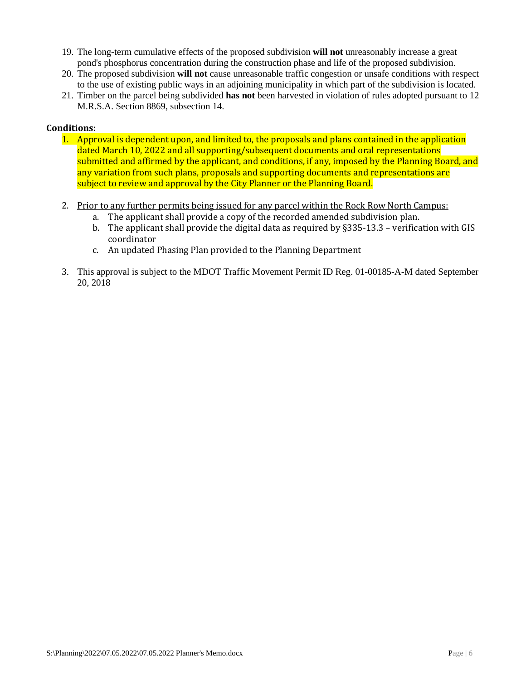- 19. The long-term cumulative effects of the proposed subdivision **will not** unreasonably increase a great pond's phosphorus concentration during the construction phase and life of the proposed subdivision.
- 20. The proposed subdivision **will not** cause unreasonable traffic congestion or unsafe conditions with respect to the use of existing public ways in an adjoining municipality in which part of the subdivision is located.
- 21. Timber on the parcel being subdivided **has not** been harvested in violation of rules adopted pursuant to 12 M.R.S.A. Section 8869, subsection 14.

# **Conditions:**

- 1. Approval is dependent upon, and limited to, the proposals and plans contained in the application dated March 10, 2022 and all supporting/subsequent documents and oral representations submitted and affirmed by the applicant, and conditions, if any, imposed by the Planning Board, and any variation from such plans, proposals and supporting documents and representations are subject to review and approval by the City Planner or the Planning Board.
- 2. Prior to any further permits being issued for any parcel within the Rock Row North Campus:
	- a. The applicant shall provide a copy of the recorded amended subdivision plan.
	- b. The applicant shall provide the digital data as required by §335-13.3 verification with GIS coordinator
	- c. An updated Phasing Plan provided to the Planning Department
- 3. This approval is subject to the MDOT Traffic Movement Permit ID Reg. 01-00185-A-M dated September 20, 2018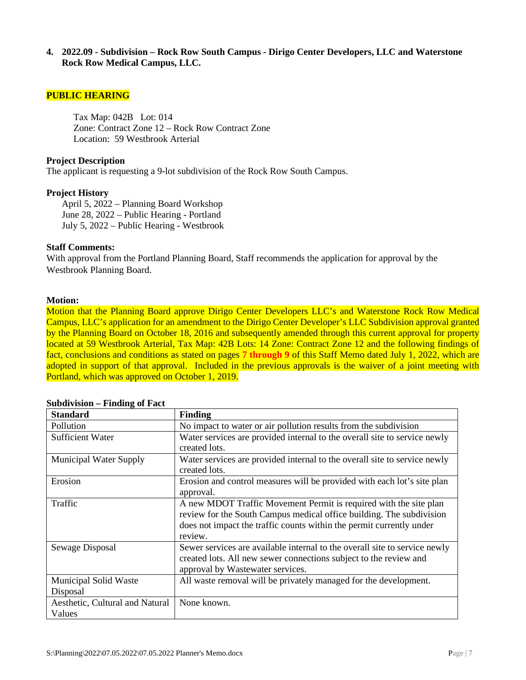**4. 2022.09 - Subdivision – Rock Row South Campus - Dirigo Center Developers, LLC and Waterstone Rock Row Medical Campus, LLC.**

#### **PUBLIC HEARING**

Tax Map: 042B Lot: 014 Zone: Contract Zone 12 – Rock Row Contract Zone Location: 59 Westbrook Arterial

### **Project Description**

The applicant is requesting a 9-lot subdivision of the Rock Row South Campus.

### **Project History**

April 5, 2022 – Planning Board Workshop June 28, 2022 – Public Hearing - Portland July 5, 2022 – Public Hearing - Westbrook

### **Staff Comments:**

With approval from the Portland Planning Board, Staff recommends the application for approval by the Westbrook Planning Board.

#### **Motion:**

Motion that the Planning Board approve Dirigo Center Developers LLC's and Waterstone Rock Row Medical Campus, LLC's application for an amendment to the Dirigo Center Developer's LLC Subdivision approval granted by the Planning Board on October 18, 2016 and subsequently amended through this current approval for property located at 59 Westbrook Arterial, Tax Map: 42B Lots: 14 Zone: Contract Zone 12 and the following findings of fact, conclusions and conditions as stated on pages **7 through 9** of this Staff Memo dated July 1, 2022, which are adopted in support of that approval. Included in the previous approvals is the waiver of a joint meeting with Portland, which was approved on October 1, 2019.

| <b>Standard</b>                           | <b>Finding</b>                                                                                                                                                                                                               |
|-------------------------------------------|------------------------------------------------------------------------------------------------------------------------------------------------------------------------------------------------------------------------------|
| Pollution                                 | No impact to water or air pollution results from the subdivision                                                                                                                                                             |
| <b>Sufficient Water</b>                   | Water services are provided internal to the overall site to service newly<br>created lots.                                                                                                                                   |
| <b>Municipal Water Supply</b>             | Water services are provided internal to the overall site to service newly<br>created lots.                                                                                                                                   |
| Erosion                                   | Erosion and control measures will be provided with each lot's site plan<br>approval.                                                                                                                                         |
| Traffic                                   | A new MDOT Traffic Movement Permit is required with the site plan<br>review for the South Campus medical office building. The subdivision<br>does not impact the traffic counts within the permit currently under<br>review. |
| Sewage Disposal                           | Sewer services are available internal to the overall site to service newly<br>created lots. All new sewer connections subject to the review and<br>approval by Wastewater services.                                          |
| Municipal Solid Waste<br>Disposal         | All waste removal will be privately managed for the development.                                                                                                                                                             |
| Aesthetic, Cultural and Natural<br>Values | None known.                                                                                                                                                                                                                  |

| <b>Subdivision – Finding of Fact</b> |  |  |
|--------------------------------------|--|--|
|--------------------------------------|--|--|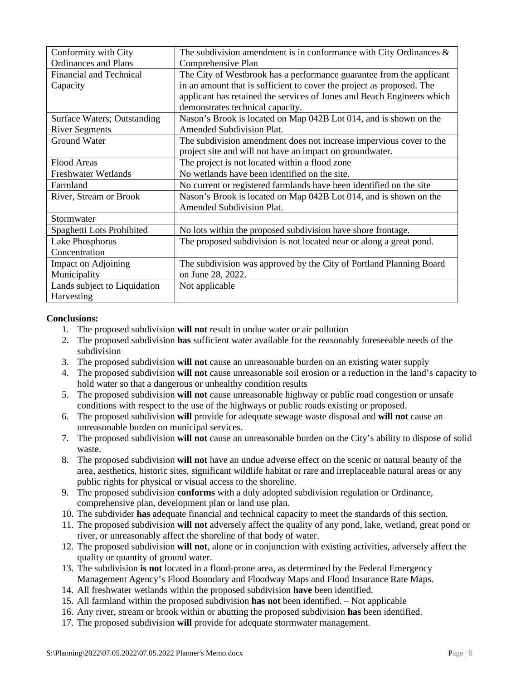| Conformity with City           | The subdivision amendment is in conformance with City Ordinances $\&$  |
|--------------------------------|------------------------------------------------------------------------|
| <b>Ordinances</b> and Plans    | Comprehensive Plan                                                     |
| <b>Financial and Technical</b> | The City of Westbrook has a performance guarantee from the applicant   |
| Capacity                       | in an amount that is sufficient to cover the project as proposed. The  |
|                                | applicant has retained the services of Jones and Beach Engineers which |
|                                | demonstrates technical capacity.                                       |
| Surface Waters; Outstanding    | Nason's Brook is located on Map 042B Lot 014, and is shown on the      |
| <b>River Segments</b>          | <b>Amended Subdivision Plat.</b>                                       |
| <b>Ground Water</b>            | The subdivision amendment does not increase impervious cover to the    |
|                                | project site and will not have an impact on groundwater.               |
| <b>Flood Areas</b>             | The project is not located within a flood zone                         |
| <b>Freshwater Wetlands</b>     | No wetlands have been identified on the site.                          |
| Farmland                       | No current or registered farmlands have been identified on the site    |
| River, Stream or Brook         | Nason's Brook is located on Map 042B Lot 014, and is shown on the      |
|                                | Amended Subdivision Plat.                                              |
| Stormwater                     |                                                                        |
| Spaghetti Lots Prohibited      | No lots within the proposed subdivision have shore frontage.           |
| Lake Phosphorus                | The proposed subdivision is not located near or along a great pond.    |
| Concentration                  |                                                                        |
| <b>Impact on Adjoining</b>     | The subdivision was approved by the City of Portland Planning Board    |
| Municipality                   | on June 28, 2022.                                                      |
| Lands subject to Liquidation   | Not applicable                                                         |
| Harvesting                     |                                                                        |

# **Conclusions:**

- 1. The proposed subdivision **will not** result in undue water or air pollution
- 2. The proposed subdivision **has** sufficient water available for the reasonably foreseeable needs of the subdivision
- 3. The proposed subdivision **will not** cause an unreasonable burden on an existing water supply
- 4. The proposed subdivision **will not** cause unreasonable soil erosion or a reduction in the land's capacity to hold water so that a dangerous or unhealthy condition results
- 5. The proposed subdivision **will not** cause unreasonable highway or public road congestion or unsafe conditions with respect to the use of the highways or public roads existing or proposed.
- 6. The proposed subdivision **will** provide for adequate sewage waste disposal and **will not** cause an unreasonable burden on municipal services.
- 7. The proposed subdivision **will not** cause an unreasonable burden on the City's ability to dispose of solid waste.
- 8. The proposed subdivision **will not** have an undue adverse effect on the scenic or natural beauty of the area, aesthetics, historic sites, significant wildlife habitat or rare and irreplaceable natural areas or any public rights for physical or visual access to the shoreline.
- 9. The proposed subdivision **conforms** with a duly adopted subdivision regulation or Ordinance, comprehensive plan, development plan or land use plan.
- 10. The subdivider **has** adequate financial and technical capacity to meet the standards of this section.
- 11. The proposed subdivision **will not** adversely affect the quality of any pond, lake, wetland, great pond or river, or unreasonably affect the shoreline of that body of water.
- 12. The proposed subdivision **will not**, alone or in conjunction with existing activities, adversely affect the quality or quantity of ground water.
- 13. The subdivision **is not** located in a flood-prone area, as determined by the Federal Emergency Management Agency's Flood Boundary and Floodway Maps and Flood Insurance Rate Maps.
- 14. All freshwater wetlands within the proposed subdivision **have** been identified.
- 15. All farmland within the proposed subdivision **has not** been identified. Not applicable
- 16. Any river, stream or brook within or abutting the proposed subdivision **has** been identified.
- 17. The proposed subdivision **will** provide for adequate stormwater management.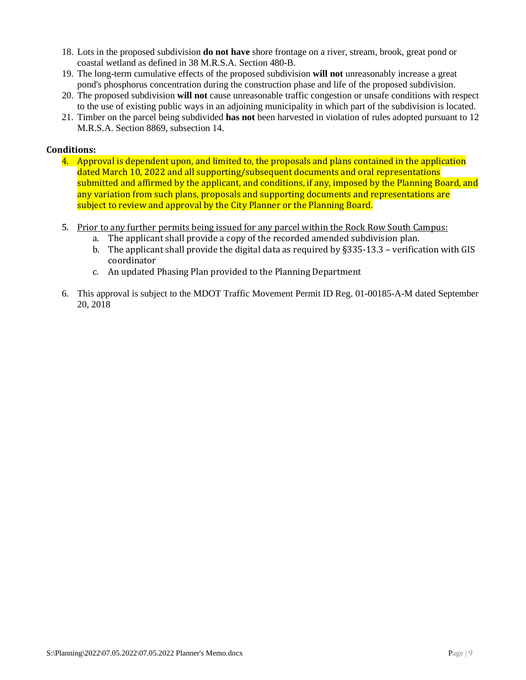- 18. Lots in the proposed subdivision **do not have** shore frontage on a river, stream, brook, great pond or coastal wetland as defined in 38 M.R.S.A. Section 480-B.
- 19. The long-term cumulative effects of the proposed subdivision **will not** unreasonably increase a great pond's phosphorus concentration during the construction phase and life of the proposed subdivision.
- 20. The proposed subdivision **will not** cause unreasonable traffic congestion or unsafe conditions with respect to the use of existing public ways in an adjoining municipality in which part of the subdivision is located.
- 21. Timber on the parcel being subdivided **has not** been harvested in violation of rules adopted pursuant to 12 M.R.S.A. Section 8869, subsection 14.

# **Conditions:**

- 4. Approval is dependent upon, and limited to, the proposals and plans contained in the application dated March 10, 2022 and all supporting/subsequent documents and oral representations submitted and affirmed by the applicant, and conditions, if any, imposed by the Planning Board, and any variation from such plans, proposals and supporting documents and representations are subject to review and approval by the City Planner or the Planning Board.
- 5. Prior to any further permits being issued for any parcel within the Rock Row South Campus:
	- a. The applicant shall provide a copy of the recorded amended subdivision plan.
	- b. The applicant shall provide the digital data as required by §335-13.3 verification with GIS coordinator
	- c. An updated Phasing Plan provided to the Planning Department
- 6. This approval is subject to the MDOT Traffic Movement Permit ID Reg. 01-00185-A-M dated September 20, 2018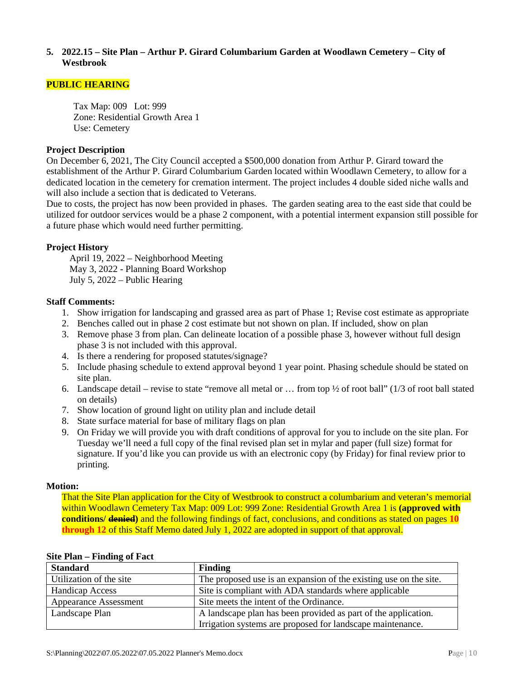## **5. 2022.15 – Site Plan – Arthur P. Girard Columbarium Garden at Woodlawn Cemetery – City of Westbrook**

## **PUBLIC HEARING**

Tax Map: 009 Lot: 999 Zone: Residential Growth Area 1 Use: Cemetery

## **Project Description**

On December 6, 2021, The City Council accepted a \$500,000 donation from Arthur P. Girard toward the establishment of the Arthur P. Girard Columbarium Garden located within Woodlawn Cemetery, to allow for a dedicated location in the cemetery for cremation interment. The project includes 4 double sided niche walls and will also include a section that is dedicated to Veterans.

Due to costs, the project has now been provided in phases. The garden seating area to the east side that could be utilized for outdoor services would be a phase 2 component, with a potential interment expansion still possible for a future phase which would need further permitting.

# **Project History**

April 19, 2022 – Neighborhood Meeting May 3, 2022 - Planning Board Workshop July 5, 2022 – Public Hearing

## **Staff Comments:**

- 1. Show irrigation for landscaping and grassed area as part of Phase 1; Revise cost estimate as appropriate
- 2. Benches called out in phase 2 cost estimate but not shown on plan. If included, show on plan
- 3. Remove phase 3 from plan. Can delineate location of a possible phase 3, however without full design phase 3 is not included with this approval.
- 4. Is there a rendering for proposed statutes/signage?
- 5. Include phasing schedule to extend approval beyond 1 year point. Phasing schedule should be stated on site plan.
- 6. Landscape detail revise to state "remove all metal or  $\ldots$  from top  $\frac{1}{2}$  of root ball" (1/3 of root ball stated on details)
- 7. Show location of ground light on utility plan and include detail
- 8. State surface material for base of military flags on plan
- 9. On Friday we will provide you with draft conditions of approval for you to include on the site plan. For Tuesday we'll need a full copy of the final revised plan set in mylar and paper (full size) format for signature. If you'd like you can provide us with an electronic copy (by Friday) for final review prior to printing.

## **Motion:**

That the Site Plan application for the City of Westbrook to construct a columbarium and veteran's memorial within Woodlawn Cemetery Tax Map: 009 Lot: 999 Zone: Residential Growth Area 1 is **(approved with conditions/ denied)** and the following findings of fact, conclusions, and conditions as stated on pages **10 through 12** of this Staff Memo dated July 1, 2022 are adopted in support of that approval.

| <b>Standard</b>              | <b>Finding</b>                                                    |
|------------------------------|-------------------------------------------------------------------|
| Utilization of the site      | The proposed use is an expansion of the existing use on the site. |
| <b>Handicap Access</b>       | Site is compliant with ADA standards where applicable             |
| <b>Appearance Assessment</b> | Site meets the intent of the Ordinance.                           |
| Landscape Plan               | A landscape plan has been provided as part of the application.    |
|                              | Irrigation systems are proposed for landscape maintenance.        |

#### **Site Plan – Finding of Fact**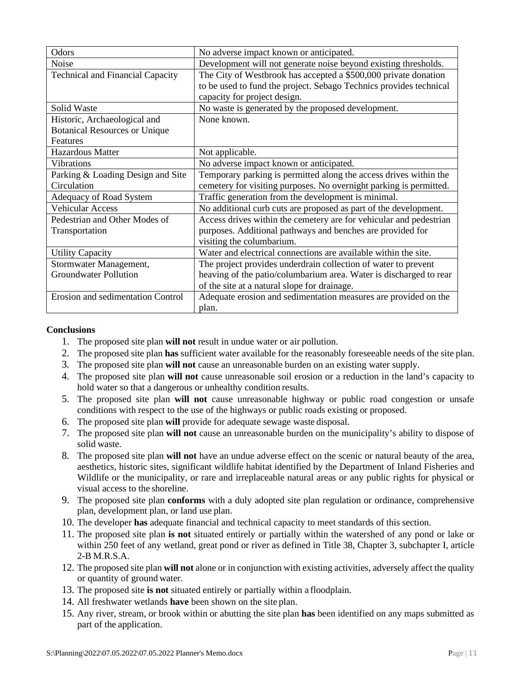| Odors                                   | No adverse impact known or anticipated.                            |
|-----------------------------------------|--------------------------------------------------------------------|
| Noise                                   | Development will not generate noise beyond existing thresholds.    |
| <b>Technical and Financial Capacity</b> | The City of Westbrook has accepted a \$500,000 private donation    |
|                                         | to be used to fund the project. Sebago Technics provides technical |
|                                         | capacity for project design.                                       |
| Solid Waste                             | No waste is generated by the proposed development.                 |
| Historic, Archaeological and            | None known.                                                        |
| <b>Botanical Resources or Unique</b>    |                                                                    |
| Features                                |                                                                    |
| <b>Hazardous Matter</b>                 | Not applicable.                                                    |
| <b>Vibrations</b>                       | No adverse impact known or anticipated.                            |
| Parking & Loading Design and Site       | Temporary parking is permitted along the access drives within the  |
| Circulation                             | cemetery for visiting purposes. No overnight parking is permitted. |
| Adequacy of Road System                 | Traffic generation from the development is minimal.                |
| <b>Vehicular Access</b>                 | No additional curb cuts are proposed as part of the development.   |
| Pedestrian and Other Modes of           | Access drives within the cemetery are for vehicular and pedestrian |
| Transportation                          | purposes. Additional pathways and benches are provided for         |
|                                         | visiting the columbarium.                                          |
| <b>Utility Capacity</b>                 | Water and electrical connections are available within the site.    |
| Stormwater Management,                  | The project provides underdrain collection of water to prevent     |
| <b>Groundwater Pollution</b>            | heaving of the patio/columbarium area. Water is discharged to rear |
|                                         | of the site at a natural slope for drainage.                       |
| Erosion and sedimentation Control       | Adequate erosion and sedimentation measures are provided on the    |
|                                         | plan.                                                              |

## **Conclusions**

- 1. The proposed site plan **will not** result in undue water or air pollution.
- 2. The proposed site plan **has** sufficient water available for the reasonably foreseeable needs of the site plan.
- 3. The proposed site plan **will not** cause an unreasonable burden on an existing water supply.
- 4. The proposed site plan **will not** cause unreasonable soil erosion or a reduction in the land's capacity to hold water so that a dangerous or unhealthy condition results.
- 5. The proposed site plan **will not** cause unreasonable highway or public road congestion or unsafe conditions with respect to the use of the highways or public roads existing or proposed.
- 6. The proposed site plan **will** provide for adequate sewage waste disposal.
- 7. The proposed site plan **will not** cause an unreasonable burden on the municipality's ability to dispose of solid waste.
- 8. The proposed site plan **will not** have an undue adverse effect on the scenic or natural beauty of the area, aesthetics, historic sites, significant wildlife habitat identified by the Department of Inland Fisheries and Wildlife or the municipality, or rare and irreplaceable natural areas or any public rights for physical or visual access to the shoreline.
- 9. The proposed site plan **conforms** with a duly adopted site plan regulation or ordinance, comprehensive plan, development plan, or land use plan.
- 10. The developer **has** adequate financial and technical capacity to meet standards of this section.
- 11. The proposed site plan **is not** situated entirely or partially within the watershed of any pond or lake or within 250 feet of any wetland, great pond or river as defined in Title 38, Chapter 3, subchapter I, article 2-B M.R.S.A.
- 12. The proposed site plan **will not** alone or in conjunction with existing activities, adversely affect the quality or quantity of ground water.
- 13. The proposed site **is not** situated entirely or partially within a floodplain.
- 14. All freshwater wetlands **have** been shown on the site plan.
- 15. Any river, stream, or brook within or abutting the site plan **has** been identified on any maps submitted as part of the application.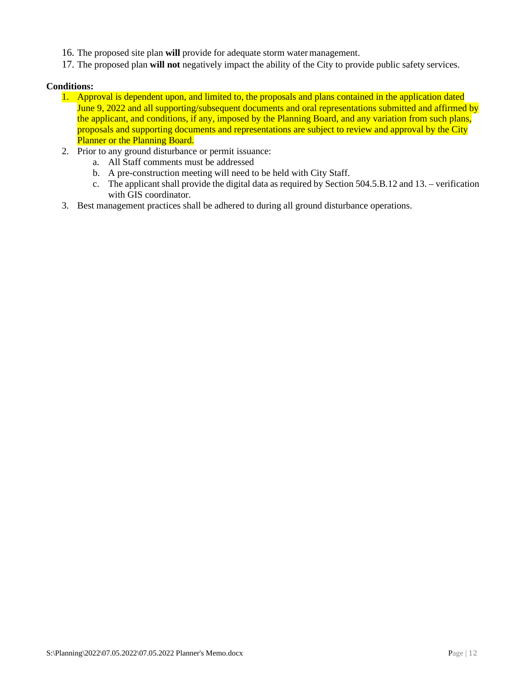- 16. The proposed site plan **will** provide for adequate storm watermanagement.
- 17. The proposed plan **will not** negatively impact the ability of the City to provide public safety services.

# **Conditions:**

- 1. Approval is dependent upon, and limited to, the proposals and plans contained in the application dated June 9, 2022 and all supporting/subsequent documents and oral representations submitted and affirmed by the applicant, and conditions, if any, imposed by the Planning Board, and any variation from such plans, proposals and supporting documents and representations are subject to review and approval by the City Planner or the Planning Board.
- 2. Prior to any ground disturbance or permit issuance:
	- a. All Staff comments must be addressed
	- b. A pre-construction meeting will need to be held with City Staff.
	- c. The applicant shall provide the digital data as required by Section 504.5.B.12 and 13. verification with GIS coordinator.
- 3. Best management practices shall be adhered to during all ground disturbance operations.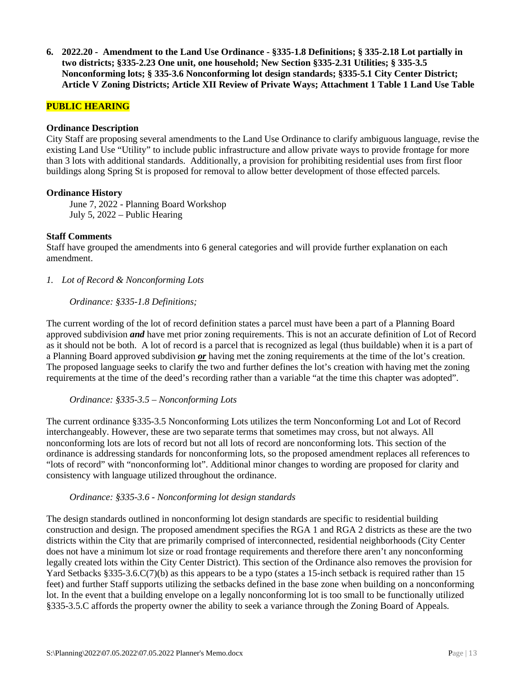**6. 2022.20 - Amendment to the Land Use Ordinance - §335-1.8 Definitions; § 335-2.18 Lot partially in two districts; §335-2.23 One unit, one household; New Section §335-2.31 Utilities; § 335-3.5 Nonconforming lots; § 335-3.6 Nonconforming lot design standards; §335-5.1 City Center District; Article V Zoning Districts; Article XII Review of Private Ways; Attachment 1 Table 1 Land Use Table**

# **PUBLIC HEARING**

#### **Ordinance Description**

City Staff are proposing several amendments to the Land Use Ordinance to clarify ambiguous language, revise the existing Land Use "Utility" to include public infrastructure and allow private ways to provide frontage for more than 3 lots with additional standards. Additionally, a provision for prohibiting residential uses from first floor buildings along Spring St is proposed for removal to allow better development of those effected parcels.

#### **Ordinance History**

June 7, 2022 - Planning Board Workshop July 5, 2022 – Public Hearing

#### **Staff Comments**

Staff have grouped the amendments into 6 general categories and will provide further explanation on each amendment.

*1. Lot of Record & Nonconforming Lots*

#### *Ordinance: §335-1.8 Definitions;*

The current wording of the lot of record definition states a parcel must have been a part of a Planning Board approved subdivision *and* have met prior zoning requirements. This is not an accurate definition of Lot of Record as it should not be both. A lot of record is a parcel that is recognized as legal (thus buildable) when it is a part of a Planning Board approved subdivision *or* having met the zoning requirements at the time of the lot's creation. The proposed language seeks to clarify the two and further defines the lot's creation with having met the zoning requirements at the time of the deed's recording rather than a variable "at the time this chapter was adopted".

## *Ordinance: §335-3.5 – Nonconforming Lots*

The current ordinance §335-3.5 Nonconforming Lots utilizes the term Nonconforming Lot and Lot of Record interchangeably. However, these are two separate terms that sometimes may cross, but not always. All nonconforming lots are lots of record but not all lots of record are nonconforming lots. This section of the ordinance is addressing standards for nonconforming lots, so the proposed amendment replaces all references to "lots of record" with "nonconforming lot". Additional minor changes to wording are proposed for clarity and consistency with language utilized throughout the ordinance.

## *Ordinance: §335-3.6 - Nonconforming lot design standards*

The design standards outlined in nonconforming lot design standards are specific to residential building construction and design. The proposed amendment specifies the RGA 1 and RGA 2 districts as these are the two districts within the City that are primarily comprised of interconnected, residential neighborhoods (City Center does not have a minimum lot size or road frontage requirements and therefore there aren't any nonconforming legally created lots within the City Center District). This section of the Ordinance also removes the provision for Yard Setbacks §335-3.6.C(7)(b) as this appears to be a typo (states a 15-inch setback is required rather than 15 feet) and further Staff supports utilizing the setbacks defined in the base zone when building on a nonconforming lot. In the event that a building envelope on a legally nonconforming lot is too small to be functionally utilized §335-3.5.C affords the property owner the ability to seek a variance through the Zoning Board of Appeals.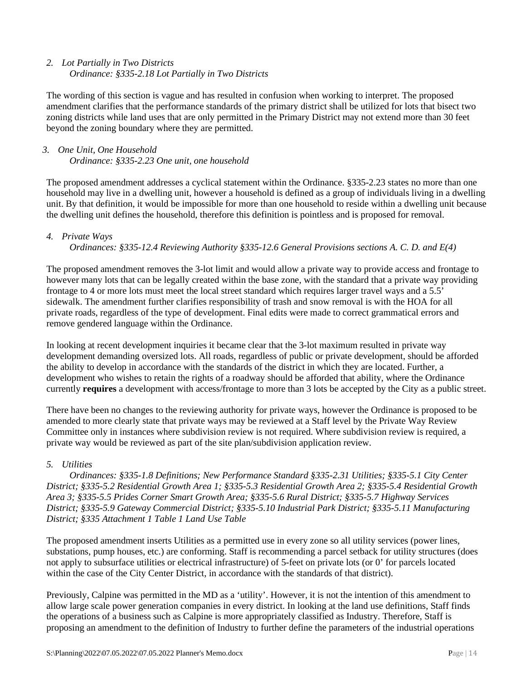# *2. Lot Partially in Two Districts Ordinance: §335-2.18 Lot Partially in Two Districts*

The wording of this section is vague and has resulted in confusion when working to interpret. The proposed amendment clarifies that the performance standards of the primary district shall be utilized for lots that bisect two zoning districts while land uses that are only permitted in the Primary District may not extend more than 30 feet beyond the zoning boundary where they are permitted.

# *3. One Unit, One Household Ordinance: §335-2.23 One unit, one household*

The proposed amendment addresses a cyclical statement within the Ordinance. §335-2.23 states no more than one household may live in a dwelling unit, however a household is defined as a group of individuals living in a dwelling unit. By that definition, it would be impossible for more than one household to reside within a dwelling unit because the dwelling unit defines the household, therefore this definition is pointless and is proposed for removal.

# *4. Private Ways*

*Ordinances: §335-12.4 Reviewing Authority §335-12.6 General Provisions sections A. C. D. and E(4)*

The proposed amendment removes the 3-lot limit and would allow a private way to provide access and frontage to however many lots that can be legally created within the base zone, with the standard that a private way providing frontage to 4 or more lots must meet the local street standard which requires larger travel ways and a 5.5' sidewalk. The amendment further clarifies responsibility of trash and snow removal is with the HOA for all private roads, regardless of the type of development. Final edits were made to correct grammatical errors and remove gendered language within the Ordinance.

In looking at recent development inquiries it became clear that the 3-lot maximum resulted in private way development demanding oversized lots. All roads, regardless of public or private development, should be afforded the ability to develop in accordance with the standards of the district in which they are located. Further, a development who wishes to retain the rights of a roadway should be afforded that ability, where the Ordinance currently **requires** a development with access/frontage to more than 3 lots be accepted by the City as a public street.

There have been no changes to the reviewing authority for private ways, however the Ordinance is proposed to be amended to more clearly state that private ways may be reviewed at a Staff level by the Private Way Review Committee only in instances where subdivision review is not required. Where subdivision review is required, a private way would be reviewed as part of the site plan/subdivision application review.

# *5. Utilities*

*Ordinances: §335-1.8 Definitions; New Performance Standard §335-2.31 Utilities; §335-5.1 City Center District; §335-5.2 Residential Growth Area 1; §335-5.3 Residential Growth Area 2; §335-5.4 Residential Growth Area 3; §335-5.5 Prides Corner Smart Growth Area; §335-5.6 Rural District; §335-5.7 Highway Services District; §335-5.9 Gateway Commercial District; §335-5.10 Industrial Park District; §335-5.11 Manufacturing District; §335 Attachment 1 Table 1 Land Use Table* 

The proposed amendment inserts Utilities as a permitted use in every zone so all utility services (power lines, substations, pump houses, etc.) are conforming. Staff is recommending a parcel setback for utility structures (does not apply to subsurface utilities or electrical infrastructure) of 5-feet on private lots (or 0' for parcels located within the case of the City Center District, in accordance with the standards of that district).

Previously, Calpine was permitted in the MD as a 'utility'. However, it is not the intention of this amendment to allow large scale power generation companies in every district. In looking at the land use definitions, Staff finds the operations of a business such as Calpine is more appropriately classified as Industry. Therefore, Staff is proposing an amendment to the definition of Industry to further define the parameters of the industrial operations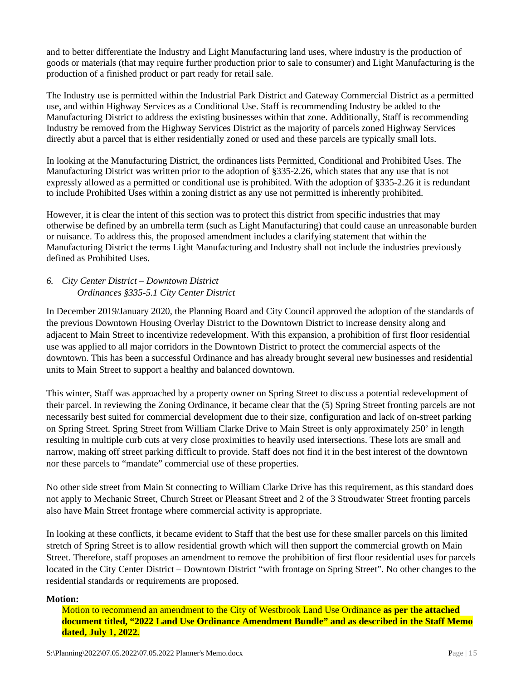and to better differentiate the Industry and Light Manufacturing land uses, where industry is the production of goods or materials (that may require further production prior to sale to consumer) and Light Manufacturing is the production of a finished product or part ready for retail sale.

The Industry use is permitted within the Industrial Park District and Gateway Commercial District as a permitted use, and within Highway Services as a Conditional Use. Staff is recommending Industry be added to the Manufacturing District to address the existing businesses within that zone. Additionally, Staff is recommending Industry be removed from the Highway Services District as the majority of parcels zoned Highway Services directly abut a parcel that is either residentially zoned or used and these parcels are typically small lots.

In looking at the Manufacturing District, the ordinances lists Permitted, Conditional and Prohibited Uses. The Manufacturing District was written prior to the adoption of §335-2.26, which states that any use that is not expressly allowed as a permitted or conditional use is prohibited. With the adoption of §335-2.26 it is redundant to include Prohibited Uses within a zoning district as any use not permitted is inherently prohibited.

However, it is clear the intent of this section was to protect this district from specific industries that may otherwise be defined by an umbrella term (such as Light Manufacturing) that could cause an unreasonable burden or nuisance. To address this, the proposed amendment includes a clarifying statement that within the Manufacturing District the terms Light Manufacturing and Industry shall not include the industries previously defined as Prohibited Uses.

# *6. City Center District – Downtown District Ordinances §335-5.1 City Center District*

In December 2019/January 2020, the Planning Board and City Council approved the adoption of the standards of the previous Downtown Housing Overlay District to the Downtown District to increase density along and adjacent to Main Street to incentivize redevelopment. With this expansion, a prohibition of first floor residential use was applied to all major corridors in the Downtown District to protect the commercial aspects of the downtown. This has been a successful Ordinance and has already brought several new businesses and residential units to Main Street to support a healthy and balanced downtown.

This winter, Staff was approached by a property owner on Spring Street to discuss a potential redevelopment of their parcel. In reviewing the Zoning Ordinance, it became clear that the (5) Spring Street fronting parcels are not necessarily best suited for commercial development due to their size, configuration and lack of on-street parking on Spring Street. Spring Street from William Clarke Drive to Main Street is only approximately 250' in length resulting in multiple curb cuts at very close proximities to heavily used intersections. These lots are small and narrow, making off street parking difficult to provide. Staff does not find it in the best interest of the downtown nor these parcels to "mandate" commercial use of these properties.

No other side street from Main St connecting to William Clarke Drive has this requirement, as this standard does not apply to Mechanic Street, Church Street or Pleasant Street and 2 of the 3 Stroudwater Street fronting parcels also have Main Street frontage where commercial activity is appropriate.

In looking at these conflicts, it became evident to Staff that the best use for these smaller parcels on this limited stretch of Spring Street is to allow residential growth which will then support the commercial growth on Main Street. Therefore, staff proposes an amendment to remove the prohibition of first floor residential uses for parcels located in the City Center District – Downtown District "with frontage on Spring Street". No other changes to the residential standards or requirements are proposed.

## **Motion:**

Motion to recommend an amendment to the City of Westbrook Land Use Ordinance **as per the attached document titled, "2022 Land Use Ordinance Amendment Bundle" and as described in the Staff Memo dated, July 1, 2022.**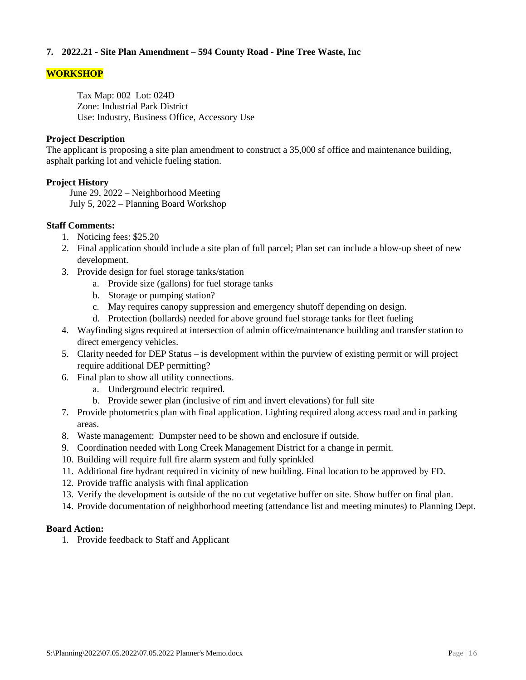# **7. 2022.21 - Site Plan Amendment – 594 County Road - Pine Tree Waste, Inc**

# **WORKSHOP**

Tax Map: 002 Lot: 024D Zone: Industrial Park District Use: Industry, Business Office, Accessory Use

### **Project Description**

The applicant is proposing a site plan amendment to construct a 35,000 sf office and maintenance building, asphalt parking lot and vehicle fueling station.

## **Project History**

June 29, 2022 – Neighborhood Meeting July 5, 2022 – Planning Board Workshop

# **Staff Comments:**

- 1. Noticing fees: \$25.20
- 2. Final application should include a site plan of full parcel; Plan set can include a blow-up sheet of new development.
- 3. Provide design for fuel storage tanks/station
	- a. Provide size (gallons) for fuel storage tanks
	- b. Storage or pumping station?
	- c. May requires canopy suppression and emergency shutoff depending on design.
	- d. Protection (bollards) needed for above ground fuel storage tanks for fleet fueling
- 4. Wayfinding signs required at intersection of admin office/maintenance building and transfer station to direct emergency vehicles.
- 5. Clarity needed for DEP Status is development within the purview of existing permit or will project require additional DEP permitting?
- 6. Final plan to show all utility connections.
	- a. Underground electric required.
	- b. Provide sewer plan (inclusive of rim and invert elevations) for full site
- 7. Provide photometrics plan with final application. Lighting required along access road and in parking areas.
- 8. Waste management: Dumpster need to be shown and enclosure if outside.
- 9. Coordination needed with Long Creek Management District for a change in permit.
- 10. Building will require full fire alarm system and fully sprinkled
- 11. Additional fire hydrant required in vicinity of new building. Final location to be approved by FD.
- 12. Provide traffic analysis with final application
- 13. Verify the development is outside of the no cut vegetative buffer on site. Show buffer on final plan.
- 14. Provide documentation of neighborhood meeting (attendance list and meeting minutes) to Planning Dept.

## **Board Action:**

1. Provide feedback to Staff and Applicant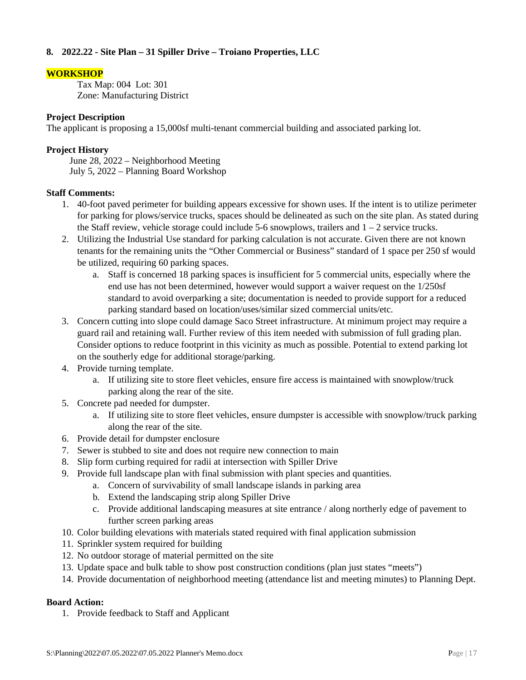# **8. 2022.22 - Site Plan – 31 Spiller Drive – Troiano Properties, LLC**

# **WORKSHOP**

Tax Map: 004 Lot: 301 Zone: Manufacturing District

## **Project Description**

The applicant is proposing a 15,000sf multi-tenant commercial building and associated parking lot.

# **Project History**

June 28, 2022 – Neighborhood Meeting July 5, 2022 – Planning Board Workshop

# **Staff Comments:**

- 1. 40-foot paved perimeter for building appears excessive for shown uses. If the intent is to utilize perimeter for parking for plows/service trucks, spaces should be delineated as such on the site plan. As stated during the Staff review, vehicle storage could include 5-6 snowplows, trailers and  $1 - 2$  service trucks.
- 2. Utilizing the Industrial Use standard for parking calculation is not accurate. Given there are not known tenants for the remaining units the "Other Commercial or Business" standard of 1 space per 250 sf would be utilized, requiring 60 parking spaces.
	- a. Staff is concerned 18 parking spaces is insufficient for 5 commercial units, especially where the end use has not been determined, however would support a waiver request on the 1/250sf standard to avoid overparking a site; documentation is needed to provide support for a reduced parking standard based on location/uses/similar sized commercial units/etc.
- 3. Concern cutting into slope could damage Saco Street infrastructure. At minimum project may require a guard rail and retaining wall. Further review of this item needed with submission of full grading plan. Consider options to reduce footprint in this vicinity as much as possible. Potential to extend parking lot on the southerly edge for additional storage/parking.
- 4. Provide turning template.
	- a. If utilizing site to store fleet vehicles, ensure fire access is maintained with snowplow/truck parking along the rear of the site.
- 5. Concrete pad needed for dumpster.
	- a. If utilizing site to store fleet vehicles, ensure dumpster is accessible with snowplow/truck parking along the rear of the site.
- 6. Provide detail for dumpster enclosure
- 7. Sewer is stubbed to site and does not require new connection to main
- 8. Slip form curbing required for radii at intersection with Spiller Drive
- 9. Provide full landscape plan with final submission with plant species and quantities.
	- a. Concern of survivability of small landscape islands in parking area
	- b. Extend the landscaping strip along Spiller Drive
	- c. Provide additional landscaping measures at site entrance / along northerly edge of pavement to further screen parking areas
- 10. Color building elevations with materials stated required with final application submission
- 11. Sprinkler system required for building
- 12. No outdoor storage of material permitted on the site
- 13. Update space and bulk table to show post construction conditions (plan just states "meets")
- 14. Provide documentation of neighborhood meeting (attendance list and meeting minutes) to Planning Dept.

# **Board Action:**

1. Provide feedback to Staff and Applicant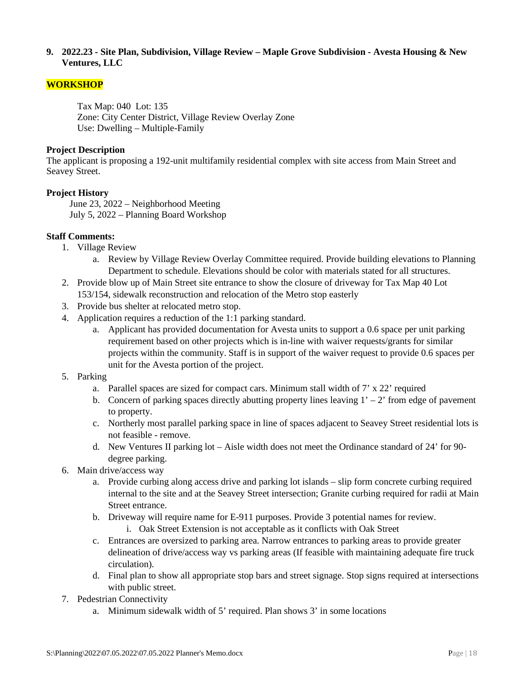## **9. 2022.23 - Site Plan, Subdivision, Village Review – Maple Grove Subdivision - Avesta Housing & New Ventures, LLC**

# **WORKSHOP**

Tax Map: 040 Lot: 135 Zone: City Center District, Village Review Overlay Zone Use: Dwelling – Multiple-Family

## **Project Description**

The applicant is proposing a 192-unit multifamily residential complex with site access from Main Street and Seavey Street.

# **Project History**

June 23, 2022 – Neighborhood Meeting July 5, 2022 – Planning Board Workshop

# **Staff Comments:**

- 1. Village Review
	- a. Review by Village Review Overlay Committee required. Provide building elevations to Planning Department to schedule. Elevations should be color with materials stated for all structures.
- 2. Provide blow up of Main Street site entrance to show the closure of driveway for Tax Map 40 Lot 153/154, sidewalk reconstruction and relocation of the Metro stop easterly
- 3. Provide bus shelter at relocated metro stop.
- 4. Application requires a reduction of the 1:1 parking standard.
	- a. Applicant has provided documentation for Avesta units to support a 0.6 space per unit parking requirement based on other projects which is in-line with waiver requests/grants for similar projects within the community. Staff is in support of the waiver request to provide 0.6 spaces per unit for the Avesta portion of the project.
- 5. Parking
	- a. Parallel spaces are sized for compact cars. Minimum stall width of  $7' \times 22'$  required
	- b. Concern of parking spaces directly abutting property lines leaving  $1' 2'$  from edge of pavement to property.
	- c. Northerly most parallel parking space in line of spaces adjacent to Seavey Street residential lots is not feasible - remove.
	- d. New Ventures II parking lot Aisle width does not meet the Ordinance standard of 24' for 90 degree parking.
- 6. Main drive/access way
	- a. Provide curbing along access drive and parking lot islands slip form concrete curbing required internal to the site and at the Seavey Street intersection; Granite curbing required for radii at Main Street entrance.
	- b. Driveway will require name for E-911 purposes. Provide 3 potential names for review.
		- i. Oak Street Extension is not acceptable as it conflicts with Oak Street
	- c. Entrances are oversized to parking area. Narrow entrances to parking areas to provide greater delineation of drive/access way vs parking areas (If feasible with maintaining adequate fire truck circulation).
	- d. Final plan to show all appropriate stop bars and street signage. Stop signs required at intersections with public street.
- 7. Pedestrian Connectivity
	- a. Minimum sidewalk width of 5' required. Plan shows 3' in some locations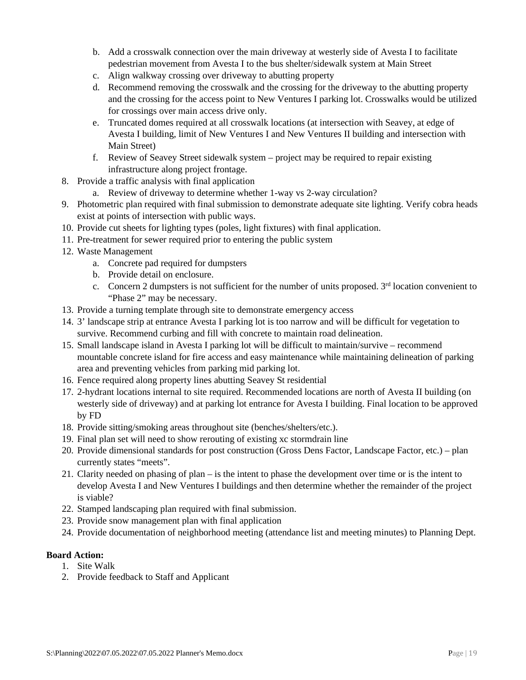- b. Add a crosswalk connection over the main driveway at westerly side of Avesta I to facilitate pedestrian movement from Avesta I to the bus shelter/sidewalk system at Main Street
- c. Align walkway crossing over driveway to abutting property
- d. Recommend removing the crosswalk and the crossing for the driveway to the abutting property and the crossing for the access point to New Ventures I parking lot. Crosswalks would be utilized for crossings over main access drive only.
- e. Truncated domes required at all crosswalk locations (at intersection with Seavey, at edge of Avesta I building, limit of New Ventures I and New Ventures II building and intersection with Main Street)
- f. Review of Seavey Street sidewalk system project may be required to repair existing infrastructure along project frontage.
- 8. Provide a traffic analysis with final application
	- a. Review of driveway to determine whether 1-way vs 2-way circulation?
- 9. Photometric plan required with final submission to demonstrate adequate site lighting. Verify cobra heads exist at points of intersection with public ways.
- 10. Provide cut sheets for lighting types (poles, light fixtures) with final application.
- 11. Pre-treatment for sewer required prior to entering the public system
- 12. Waste Management
	- a. Concrete pad required for dumpsters
	- b. Provide detail on enclosure.
	- c. Concern 2 dumpsters is not sufficient for the number of units proposed.  $3<sup>rd</sup>$  location convenient to "Phase 2" may be necessary.
- 13. Provide a turning template through site to demonstrate emergency access
- 14. 3' landscape strip at entrance Avesta I parking lot is too narrow and will be difficult for vegetation to survive. Recommend curbing and fill with concrete to maintain road delineation.
- 15. Small landscape island in Avesta I parking lot will be difficult to maintain/survive recommend mountable concrete island for fire access and easy maintenance while maintaining delineation of parking area and preventing vehicles from parking mid parking lot.
- 16. Fence required along property lines abutting Seavey St residential
- 17. 2-hydrant locations internal to site required. Recommended locations are north of Avesta II building (on westerly side of driveway) and at parking lot entrance for Avesta I building. Final location to be approved by FD
- 18. Provide sitting/smoking areas throughout site (benches/shelters/etc.).
- 19. Final plan set will need to show rerouting of existing xc stormdrain line
- 20. Provide dimensional standards for post construction (Gross Dens Factor, Landscape Factor, etc.) plan currently states "meets".
- 21. Clarity needed on phasing of plan is the intent to phase the development over time or is the intent to develop Avesta I and New Ventures I buildings and then determine whether the remainder of the project is viable?
- 22. Stamped landscaping plan required with final submission.
- 23. Provide snow management plan with final application
- 24. Provide documentation of neighborhood meeting (attendance list and meeting minutes) to Planning Dept.

# **Board Action:**

- 1. Site Walk
- 2. Provide feedback to Staff and Applicant